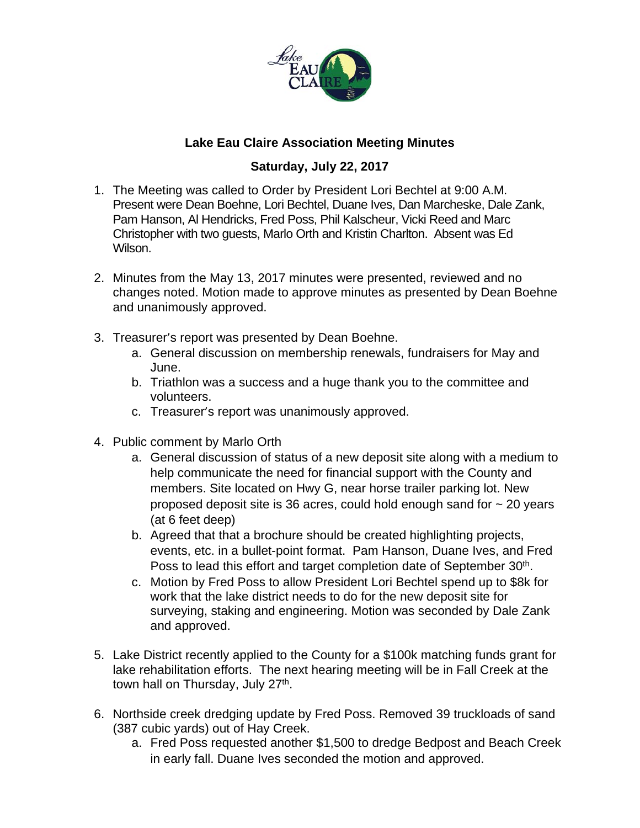

## **Lake Eau Claire Association Meeting Minutes**

## **Saturday, July 22, 2017**

- 1. The Meeting was called to Order by President Lori Bechtel at 9:00 A.M. Present were Dean Boehne, Lori Bechtel, Duane Ives, Dan Marcheske, Dale Zank, Pam Hanson, Al Hendricks, Fred Poss, Phil Kalscheur, Vicki Reed and Marc Christopher with two guests, Marlo Orth and Kristin Charlton. Absent was Ed Wilson.
- 2. Minutes from the May 13, 2017 minutes were presented, reviewed and no changes noted. Motion made to approve minutes as presented by Dean Boehne and unanimously approved.
- 3. Treasurer's report was presented by Dean Boehne.
	- a. General discussion on membership renewals, fundraisers for May and June.
	- b. Triathlon was a success and a huge thank you to the committee and volunteers.
	- c. Treasurer's report was unanimously approved.
- 4. Public comment by Marlo Orth
	- a. General discussion of status of a new deposit site along with a medium to help communicate the need for financial support with the County and members. Site located on Hwy G, near horse trailer parking lot. New proposed deposit site is 36 acres, could hold enough sand for  $\sim$  20 years (at 6 feet deep)
	- b. Agreed that that a brochure should be created highlighting projects, events, etc. in a bullet-point format. Pam Hanson, Duane Ives, and Fred Poss to lead this effort and target completion date of September 30<sup>th</sup>.
	- c. Motion by Fred Poss to allow President Lori Bechtel spend up to \$8k for work that the lake district needs to do for the new deposit site for surveying, staking and engineering. Motion was seconded by Dale Zank and approved.
- 5. Lake District recently applied to the County for a \$100k matching funds grant for lake rehabilitation efforts. The next hearing meeting will be in Fall Creek at the town hall on Thursday, July 27<sup>th</sup>.
- 6. Northside creek dredging update by Fred Poss. Removed 39 truckloads of sand (387 cubic yards) out of Hay Creek.
	- a. Fred Poss requested another \$1,500 to dredge Bedpost and Beach Creek in early fall. Duane Ives seconded the motion and approved.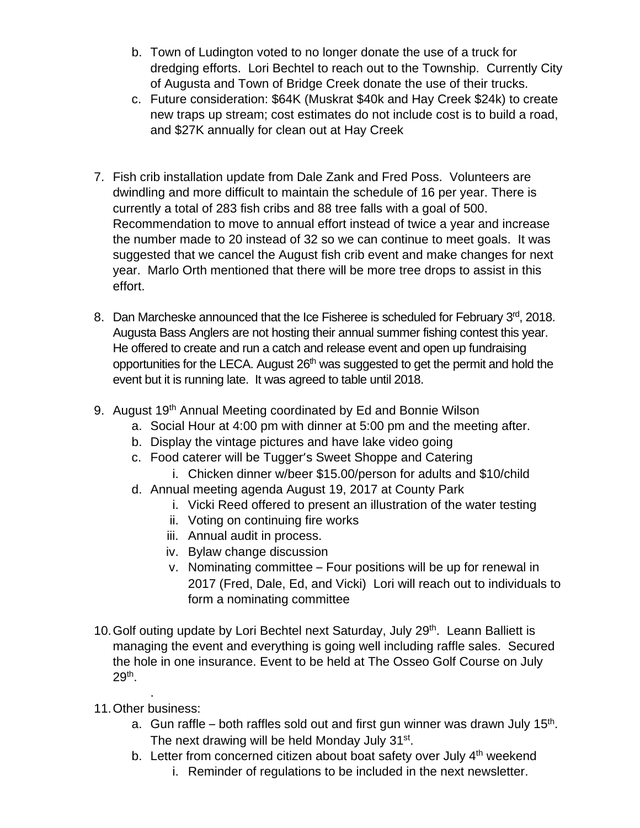- b. Town of Ludington voted to no longer donate the use of a truck for dredging efforts. Lori Bechtel to reach out to the Township. Currently City of Augusta and Town of Bridge Creek donate the use of their trucks.
- c. Future consideration: \$64K (Muskrat \$40k and Hay Creek \$24k) to create new traps up stream; cost estimates do not include cost is to build a road, and \$27K annually for clean out at Hay Creek
- 7. Fish crib installation update from Dale Zank and Fred Poss. Volunteers are dwindling and more difficult to maintain the schedule of 16 per year. There is currently a total of 283 fish cribs and 88 tree falls with a goal of 500. Recommendation to move to annual effort instead of twice a year and increase the number made to 20 instead of 32 so we can continue to meet goals. It was suggested that we cancel the August fish crib event and make changes for next year. Marlo Orth mentioned that there will be more tree drops to assist in this effort.
- 8. Dan Marcheske announced that the Ice Fisheree is scheduled for February 3rd, 2018. Augusta Bass Anglers are not hosting their annual summer fishing contest this year. He offered to create and run a catch and release event and open up fundraising opportunities for the LECA. August 26<sup>th</sup> was suggested to get the permit and hold the event but it is running late. It was agreed to table until 2018.
- 9. August 19<sup>th</sup> Annual Meeting coordinated by Ed and Bonnie Wilson
	- a. Social Hour at 4:00 pm with dinner at 5:00 pm and the meeting after.
	- b. Display the vintage pictures and have lake video going
	- c. Food caterer will be Tugger's Sweet Shoppe and Catering
		- i. Chicken dinner w/beer \$15.00/person for adults and \$10/child
	- d. Annual meeting agenda August 19, 2017 at County Park
		- i. Vicki Reed offered to present an illustration of the water testing
		- ii. Voting on continuing fire works
		- iii. Annual audit in process.
		- iv. Bylaw change discussion
		- v. Nominating committee Four positions will be up for renewal in 2017 (Fred, Dale, Ed, and Vicki) Lori will reach out to individuals to form a nominating committee
- 10. Golf outing update by Lori Bechtel next Saturday, July 29<sup>th</sup>. Leann Balliett is managing the event and everything is going well including raffle sales. Secured the hole in one insurance. Event to be held at The Osseo Golf Course on July 29th.
- . 11.Other business:
	- a. Gun raffle both raffles sold out and first gun winner was drawn July 15<sup>th</sup>. The next drawing will be held Monday July 31<sup>st</sup>.
	- b. Letter from concerned citizen about boat safety over July 4<sup>th</sup> weekend
		- i. Reminder of regulations to be included in the next newsletter.